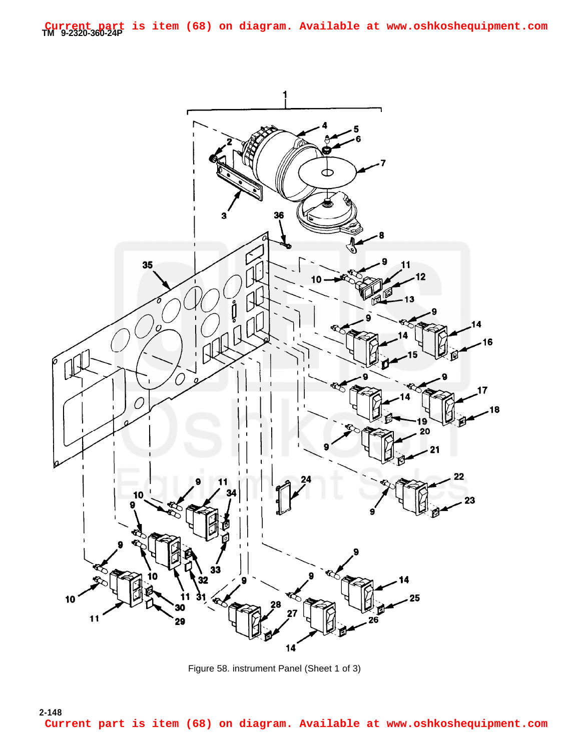**TM 9-2320-360-24P Current part is item (68) on diagram. Available at www.oshkoshequipment.com**



Figure 58. instrument Panel (Sheet 1 of 3)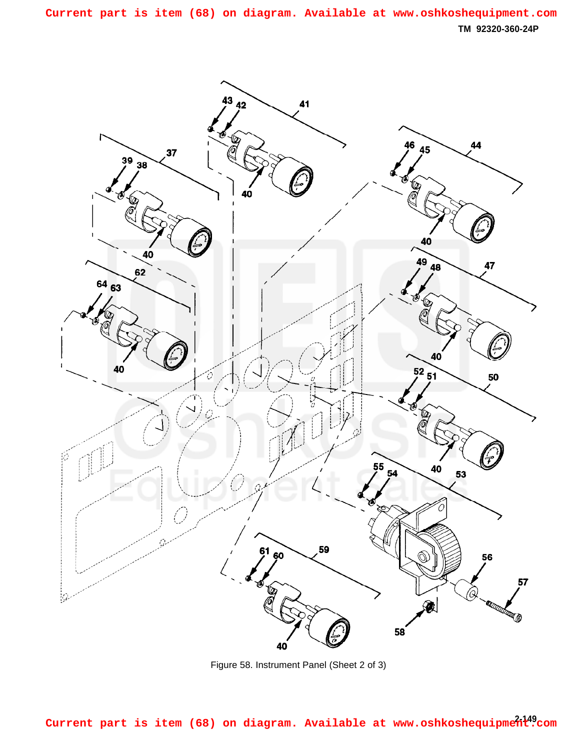

Figure 58. Instrument Panel (Sheet 2 of 3)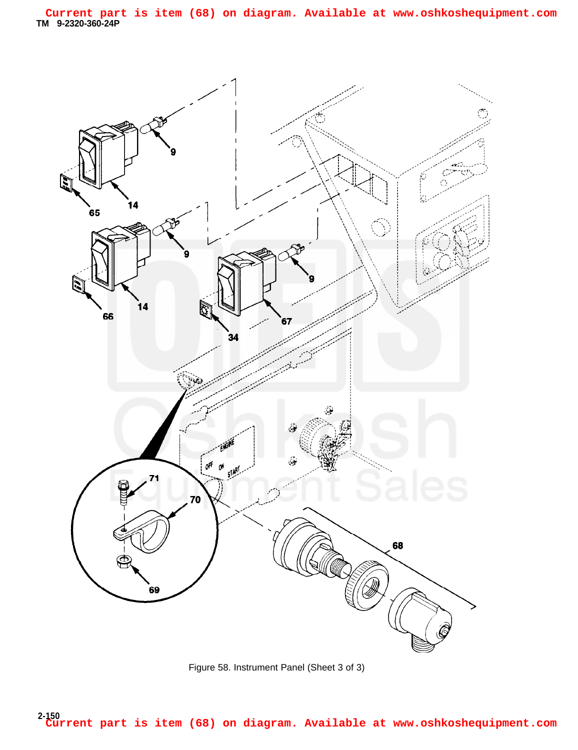**TM 9-2320-360-24P Current part is item (68) on diagram. Available at www.oshkoshequipment.com**



Figure 58. Instrument Panel (Sheet 3 of 3)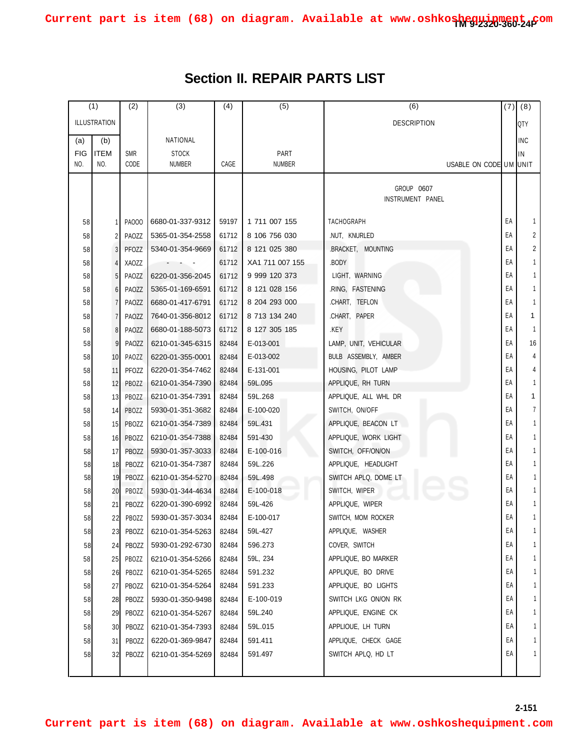## **Section II. REPAIR PARTS LIST**

| (1)                 |             | (2)                | (3)              | (4)   | (5)             | (6)                    |    | $(7)$ $(8)$ |
|---------------------|-------------|--------------------|------------------|-------|-----------------|------------------------|----|-------------|
| <b>ILLUSTRATION</b> |             |                    |                  |       |                 | <b>DESCRIPTION</b>     |    | QTY         |
| (a)                 | (b)         |                    | NATIONAL         |       |                 |                        |    | <b>INC</b>  |
| <b>FIG</b>          | <b>ITEM</b> | <b>SMR</b>         | <b>STOCK</b>     |       | PART            |                        |    | IN          |
| NO.                 | NO.         | CODE               | <b>NUMBER</b>    | CAGE  | <b>NUMBER</b>   | USABLE ON CODE UM UNIT |    |             |
|                     |             |                    |                  |       |                 |                        |    |             |
|                     |             |                    |                  |       |                 | GROUP 0607             |    |             |
|                     |             |                    |                  |       |                 | INSTRUMENT PANEL       |    |             |
| 58                  |             | PAOOO              | 6680-01-337-9312 | 59197 | 1 711 007 155   | TACHOGRAPH             | EА |             |
| 58                  |             | PAOZZ              | 5365-01-354-2558 | 61712 | 8 106 756 030   | .NUT, KNURLED          | ΕA | 2           |
| 58                  |             | PFOZZ              | 5340-01-354-9669 | 61712 | 8 121 025 380   | .BRACKET, MOUNTING     | EA | 2           |
| 58                  |             | XAOZZ              |                  | 61712 | XA1 711 007 155 | BODY.                  | ΕA |             |
| 58                  | 5           | PAOZZ              | 6220-01-356-2045 | 61712 | 9 999 120 373   | LIGHT, WARNING         | EA |             |
| 58                  | 6           | PAOZZ              | 5365-01-169-6591 | 61712 | 8 121 028 156   | .RING, FASTENING       | EA |             |
| 58                  |             | PAOZZ              | 6680-01-417-6791 | 61712 | 8 204 293 000   | CHART, TEFLON          | ЕA |             |
| 58                  |             | PAOZZ              | 7640-01-356-8012 | 61712 | 8 713 134 240   | .CHART, PAPER          | ЕA | 1           |
| 58                  |             | PAOZZ              | 6680-01-188-5073 | 61712 | 8 127 305 185   | .KEY                   | EА |             |
| 58                  | 9           | PAOZZ              | 6210-01-345-6315 | 82484 | E-013-001       | LAMP, UNIT, VEHICULAR  | EA | 16          |
| 58                  | 10          | PAOZZ              | 6220-01-355-0001 | 82484 | E-013-002       | BULB ASSEMBLY, AMBER   | EA |             |
| 58                  | 11          | PFOZZ              | 6220-01-354-7462 | 82484 | E-131-001       | HOUSING, PILOT LAMP    | ΕA |             |
| 58                  | 12          | <b>PBOZZ</b>       | 6210-01-354-7390 | 82484 | 59L.095         | APPLIQUE, RH TURN      | ΕA |             |
| 58                  | 13          | PBOZZ              | 6210-01-354-7391 | 82484 | 59L.268         | APPLIQUE, ALL WHL DR   | ΕA | 1           |
| 58                  | 14          | PBOZZ              | 5930-01-351-3682 | 82484 | E-100-020       | SWITCH, ON/OFF         | EA | 7           |
| 58                  | 15          | PBOZZ              | 6210-01-354-7389 | 82484 | 59L.431         | APPLIQUE, BEACON LT    | EA |             |
| 58                  | 16          | PBOZZ              | 6210-01-354-7388 | 82484 | 591-430         | APPLIQUE, WORK LIGHT   | EA |             |
| 58                  | 17          | <b>PBOZZ</b>       | 5930-01-357-3033 | 82484 | E-100-016       | SWITCH, OFF/ON/ON      | ΕA |             |
| 58                  | 18          | PBOZZ              | 6210-01-354-7387 | 82484 | 59L.226         | APPLIQUE, HEADLIGHT    | ΕA |             |
| 58                  | 19          | PBOZZ              | 6210-01-354-5270 | 82484 | 59L.498         | SWITCH APLQ, DOME LT   | ЕA |             |
| 58                  | 20          | PBOZZ              | 5930-01-344-4634 | 82484 | E-100-018       | SWITCH, WIPER          | ЕA |             |
| 58                  | 21          | PBOZZ              | 6220-01-390-6992 | 82484 | 59L-426         | APPLIQUE, WIPER        | ЕA |             |
| 58                  | 22          | PBOZZ <sub>1</sub> | 5930-01-357-3034 | 82484 | E-100-017       | SWITCH, MOM ROCKER     | EA |             |
| 58                  | 23          | <b>PBOZZ</b>       | 6210-01-354-5263 | 82484 | 59L-427         | APPLIQUE, WASHER       | ΕA | 1           |
| 58                  | 24          | PBOZZ              | 5930-01-292-6730 | 82484 | 596.273         | COVER, SWITCH          | EA |             |
| 58                  | 25          | PBOZZ              | 6210-01-354-5266 | 82484 | 59L, 234        | APPLIQUE, BO MARKER    | ΕA |             |
| 58                  | 26          | PBOZZ              | 6210-01-354-5265 | 82484 | 591.232         | APPLIQUE, BO DRIVE     | EA |             |
| 58                  | 27          | PBOZZ              | 6210-01-354-5264 | 82484 | 591.233         | APPLIQUE, BO LIGHTS    | EA |             |
| 58                  | 28          | PBOZZ              | 5930-01-350-9498 | 82484 | E-100-019       | SWITCH LKG ON/ON RK    | ΕA |             |
| 58                  | 29          | PBOZZ              | 6210-01-354-5267 | 82484 | 59L.240         | APPLIQUE, ENGINE CK    | ΕA |             |
| 58                  | 30          | PBOZZ              | 6210-01-354-7393 | 82484 | 59L.015         | APPLIOUE, LH TURN      | ЕA |             |
| 58                  | 31          | PBOZZ              | 6220-01-369-9847 | 82484 | 591.411         | APPLIQUE, CHECK GAGE   | EA |             |
| 58                  | 32          | PBOZZ              | 6210-01-354-5269 | 82484 | 591.497         | SWITCH APLQ, HD LT     | EA |             |
|                     |             |                    |                  |       |                 |                        |    |             |

**2-151**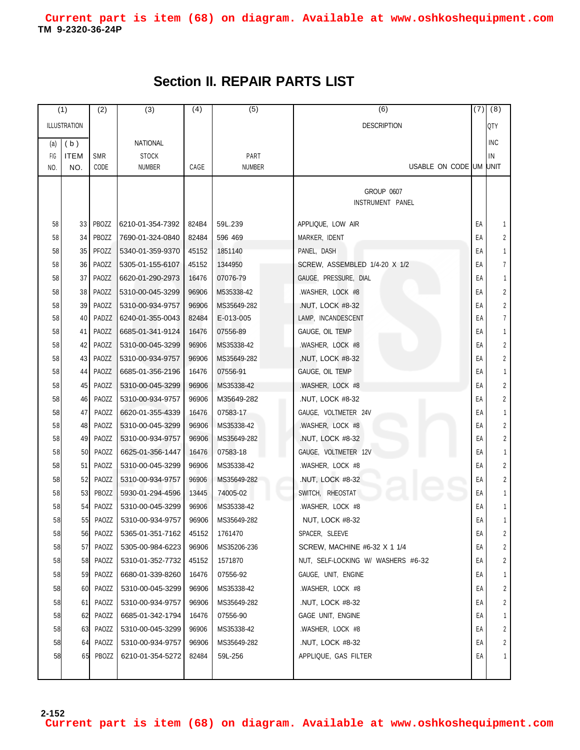**TM 9-2320-36-24P Current part is item (68) on diagram. Available at www.oshkoshequipment.com**

## **Section II. REPAIR PARTS LIST**

|                     | (1)             | (2)        | (3)              | (4)   | (5)           | (6)                                |    | $(7)$ $(8)$ |
|---------------------|-----------------|------------|------------------|-------|---------------|------------------------------------|----|-------------|
| <b>ILLUSTRATION</b> |                 |            |                  |       |               | <b>DESCRIPTION</b>                 |    | QTY         |
| (a)                 | (b)             |            | <b>NATIONAL</b>  |       |               |                                    |    | <b>INC</b>  |
| FIG                 | <b>ITEM</b>     | <b>SMR</b> | <b>STOCK</b>     |       | PART          |                                    |    | IN          |
| NO.                 | NO.             | CODE       | <b>NUMBER</b>    | CAGE  | <b>NUMBER</b> | USABLE ON CODE UM UNIT             |    |             |
|                     |                 |            |                  |       |               |                                    |    |             |
|                     |                 |            |                  |       |               | <b>GROUP 0607</b>                  |    |             |
|                     |                 |            |                  |       |               | INSTRUMENT PANEL                   |    |             |
| 58                  | 33 <sup>1</sup> | PBOZZ      | 6210-01-354-7392 | 824B4 | 59L.239       | APPLIQUE, LOW AIR                  | EA |             |
| 58                  | 34              | PBOZZ      | 7690-01-324-0840 | 82484 | 596 469       | MARKER, IDENT                      | ЕA | 2           |
| 58                  |                 | 35 PFOZZ   | 5340-01-359-9370 | 45152 | 1851140       | PANEL, DASH                        | ΕA |             |
| 58                  | 36              | PAOZZ      | 5305-01-155-6107 | 45152 | 1344950       | SCREW, ASSEMBLED 1/4-20 X 1/2      | ΕA | 7           |
| 58                  | 37              | PAOZZ      | 6620-01-290-2973 | 16476 | 07076-79      | GAUGE, PRESSURE, DIAL              | ΕA | 1           |
| 58                  | 38              | PAOZZ      | 5310-00-045-3299 | 96906 | M535338-42    | .WASHER, LOCK #8                   | ΕA | 2           |
| 58                  | 39 <sup>1</sup> | PAOZZ      | 5310-00-934-9757 | 96906 | MS35649-282   | .NUT, LOCK #8-32                   | ЕA | 2           |
| 58                  |                 | 40 PADZZ   | 6240-01-355-0043 | 82484 | E-013-005     | LAMP, INCANDESCENT                 | ЕA | 7           |
| 58                  | 41              | PAOZZ      | 6685-01-341-9124 | 16476 | 07556-89      | GAUGE, OIL TEMP                    | ΕA |             |
| 58                  |                 | 42 PAOZZ   | 5310-00-045-3299 | 96906 | MS35338-42    | WASHER, LOCK #8                    | EA | 2           |
| 58                  |                 | 43 PAOZZ   | 5310-00-934-9757 | 96906 | MS35649-282   | NUT, LOCK #8-32,                   | ΕA | 2           |
| 58                  | 44              | PAOZZ      | 6685-01-356-2196 | 16476 | 07556-91      | GAUGE, OIL TEMP                    | EA |             |
| 58                  |                 | 45 PAOZZ   | 5310-00-045-3299 | 96906 | MS35338-42    | .WASHER, LOCK #8                   | EA | 2           |
| 58                  | 46              | PAOZZ      | 5310-00-934-9757 | 96906 | M35649-282    | .NUT, LOCK #8-32                   | ΕA | 2           |
| 58                  | 47              | PAOZZ      | 6620-01-355-4339 | 16476 | 07583-17      | GAUGE, VOLTMETER 24V               | EА |             |
| 58                  |                 | 48 PAOZZ   | 5310-00-045-3299 | 96906 | MS35338-42    | .WASHER, LOCK #8                   | EА | 2           |
| 58                  |                 | 49 PAOZZ   | 5310-00-934-9757 | 96906 | MS35649-282   | .NUT, LOCK #8-32                   | EA | 2           |
| 58                  | 50              | PAOZZ      | 6625-01-356-1447 | 16476 | 07583-18      | GAUGE, VOLTMETER 12V               | ΕA |             |
| 58                  | 51              | PAOZZ      | 5310-00-045-3299 | 96906 | MS35338-42    | .WASHER, LOCK #8                   | EА | 2           |
| 58                  | 52              | PAOZZ      | 5310-00-934-9757 | 96906 | MS35649-282   | .NUT, LOCK #8-32                   | ЕA | 2           |
| 58                  | 53              | PBOZZ      | 5930-01-294-4596 | 13445 | 74005-02      | SWITCH, RHEOSTAT                   | EA |             |
| 58                  | 54              | PAOZZ      | 5310-00-045-3299 | 96906 | MS35338-42    | .WASHER, LOCK #8                   | EA |             |
| 58                  | 55              | PAOZZ      | 5310-00-934-9757 | 96906 | MS35649-282   | <b>NUT, LOCK #8-32</b>             | ЕA | 1           |
| 58                  | 56              | PAOZZ      | 5365-01-351-7162 | 45152 | 1761470       | SPACER, SLEEVE                     | EA | 2           |
| 58                  | 57              | PAOZZ      | 5305-00-984-6223 | 96906 | MS35206-236   | SCREW, MACHINE #6-32 X 1 1/4       | EA | 2           |
| 58                  | 58              | PAOZZ      | 5310-01-352-7732 | 45152 | 1571870       | NUT, SELF-LOCKING W/ WASHERS #6-32 | ΕA | 2           |
| 58                  | 59              | PAOZZ      | 6680-01-339-8260 | 16476 | 07556-92      | GAUGE, UNIT, ENGINE                | ЕA |             |
| 58                  | 60              | PAOZZ      | 5310-00-045-3299 | 96906 | MS35338-42    | .WASHER, LOCK #8                   | ЕA | 2           |
| 58                  | 61              | PAOZZ      | 5310-00-934-9757 | 96906 | MS35649-282   | .NUT, LOCK #8-32                   | EА |             |
| 58                  | 62              | PAOZZ      | 6685-01-342-1794 | 16476 | 07556-90      | GAGE UNIT, ENGINE                  | ЕA |             |
| 58                  | 63              | PAOZZ      | 5310-00-045-3299 | 96906 | MS35338-42    | .WASHER, LOCK #8                   | EА | 2           |
| 58                  | 64              | PAOZZ      | 5310-00-934-9757 | 96906 | MS35649-282   | .NUT, LOCK #8-32                   | ЕA | 2           |
| 58                  | 65              | PBOZZ      | 6210-01-354-5272 | 82484 | 59L-256       | APPLIQUE, GAS FILTER               | ЕA |             |
|                     |                 |            |                  |       |               |                                    |    |             |

**2-152**